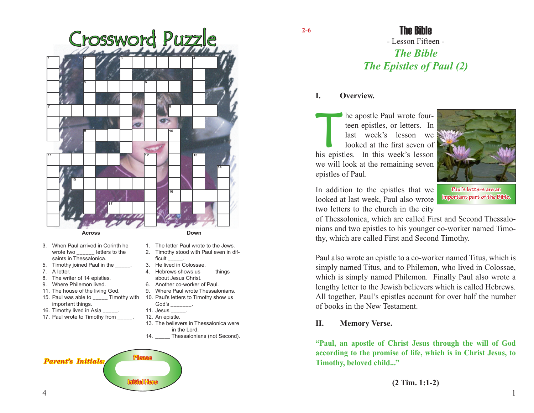

- 3. When Paul arrived in Corinth he wrote two letters to the saints in Thessalonica.
- 5. Timothy joined Paul in the \_\_\_\_\_.
- 7. A letter.
- 8. The writer of 14 epistles.
- 9. Where Philemon lived.
- 11. The house of the living God.
- 15. Paul was able to \_\_\_\_\_ Timothy with 10. Paul's letters to Timothy show us important things.
- 16. Timothy lived in Asia \_\_\_\_\_.
- 17. Paul wrote to Timothy from
- 1. The letter Paul wrote to the Jews.
- 2. Timothy stood with Paul even in difficult
- 3. He lived in Colossae.
- 4. Hebrews shows us things about Jesus Christ.
- 6. Another co-worker of Paul.
- 9. Where Paul wrote Thessalonians.
- God's \_\_\_\_\_\_\_.
- 11. Jesus \_\_\_\_\_.
- 12. An epistle.
- 13. The believers in Thessalonica were in the Lord.
- 14. \_\_\_\_\_ Thessalonians (not Second).

# **Parent's Initials Initial Here**

**2-6**

# - Lesson Fifteen - *The Bible The Epistles of Paul (2)* The Bible

#### **I. Overview.**

The apostle Paul wrote four-<br>teen epistles, or letters. In<br>last week's lesson we<br>looked at the first seven of<br>his epistles In this week's lesson teen epistles, or letters. In last week's lesson we looked at the first seven of his epistles. In this week's lesson we will look at the remaining seven epistles of Paul.



In addition to the epistles that we looked at last week, Paul also wrote two letters to the church in the city

**Paul's letters are an important part of the Bible.**

of Thessolonica, which are called First and Second Thessalonians and two epistles to his younger co-worker named Timothy, which are called First and Second Timothy.

Paul also wrote an epistle to a co-worker named Titus, which is simply named Titus, and to Philemon, who lived in Colossae, which is simply named Philemon. Finally Paul also wrote a lengthy letter to the Jewish believers which is called Hebrews. All together, Paul's epistles account for over half the number of books in the New Testament.

#### **II. Memory Verse.**

**"Paul, an apostle of Christ Jesus through the will of God according to the promise of life, which is in Christ Jesus, to Timothy, beloved child..."**